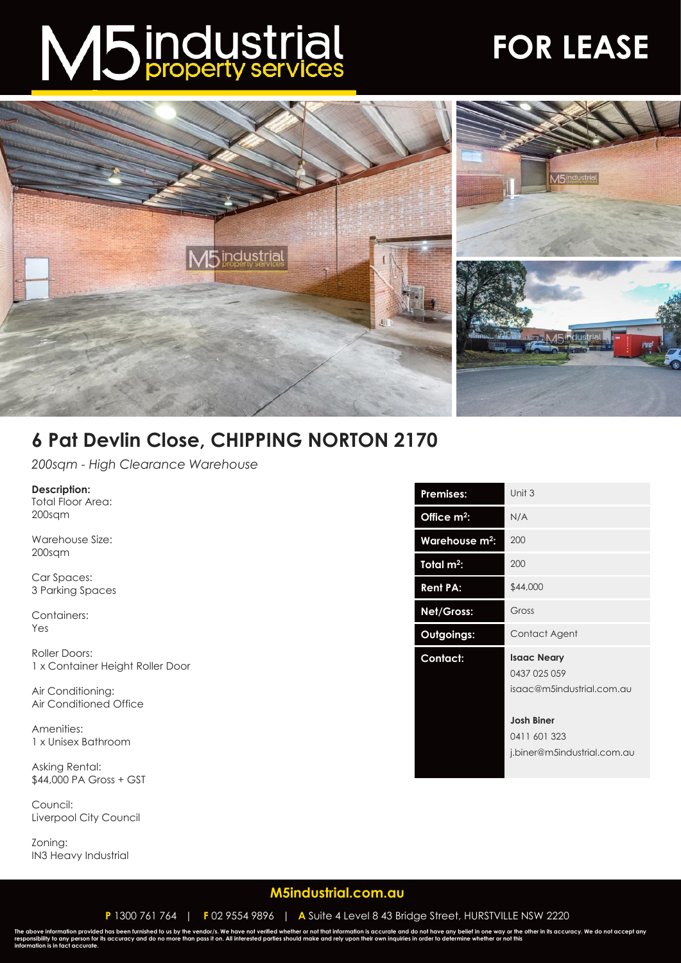# M5 industrial

## **FOR LEASE**



### **6 Pat Devlin Close, CHIPPING NORTON 2170**

*200sqm - High Clearance Warehouse*

#### **Description:**

Total Floor Area: 200sqm

Warehouse Size: 200sqm

Car Spaces: 3 Parking Spaces

Containers: Yes

Roller Doors: 1 x Container Height Roller Door

Air Conditioning: Air Conditioned Office

Amenities: 1 x Unisex Bathroom

Asking Rental: \$44,000 PA Gross + GST

Council: Liverpool City Council

Zoning: IN3 Heavy Industrial

| Unit 3                                                           |
|------------------------------------------------------------------|
| N/A                                                              |
| 200                                                              |
| 200                                                              |
| \$44,000                                                         |
| Gross                                                            |
| Contact Agent                                                    |
| <b>Isaac Neary</b><br>0437 025 059<br>isaac@m5industrial.com.au  |
| <b>Josh Biner</b><br>0411 601 323<br>j.biner@m5industrial.com.au |
|                                                                  |

#### **[M5industrial.com.au](http://www.m5industrial.com.au/)**

**P** 1300 761 764 | **F** 02 9554 9896 | **A** Suite 4 Level 8 43 Bridge Street, HURSTVILLE NSW 2220

The above information provided has been furnished to us by the vendor/s. We have not verified whether or not that information is accurate and do not have any belief in one way or the other in its accuracy. We do not accept **information is in fact accurate.**